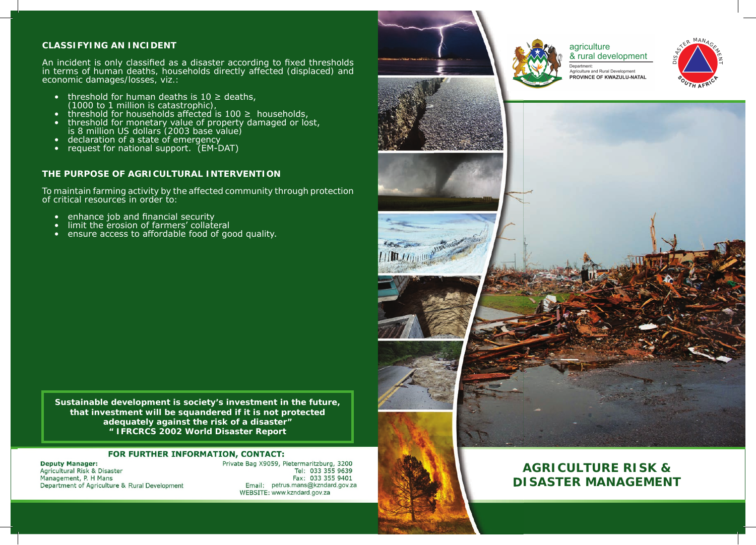# **CLASSIFYING AN INCIDENT**

An incident is only classified as a disaster according to fixed thresholds in terms of human deaths, households directly affected (displaced) and economic damages/losses, viz.:

- threshold for human deaths is  $10 \geq$  deaths, (1000 to 1 million is catastrophic),
- threshold for households affected is  $100 \geq$  households,
- threshold for monetary value of property damaged or lost, is 8 million US dollars (2003 base value)
- declaration of a state of emergency
- request for national support. (EM-DAT)

## **THE PURPOSE OF AGRICULTURAL INTERVENTION**

To maintain farming activity by the affected community through protection of critical resources in order to:

- $\bullet$  enhance job and financial security
- limit the erosion of farmers' collateral
- ensure access to affordable food of good quality.

**Sustainable development is society's investment in the future, that investment will be squandered if it is not protected adequately against the risk of a disaster" " IFRCRCS 2002 World Disaster Report**

#### **FOR FURTHER INFORMATION, CONTACT:**

**Deputy Manager:**  Agricultural Risk & Disaster Management, P. H Mans Department of Agriculture & Rural Development Private Bag X9059, Pietermaritzburg, 3200 Tel: 033 355 9639 Fax: 033 355 9401 Email: petrus.mans@kzndard.gov.za WEBSITE: www.kzndard.gov.za





agriculture & rural development









# **AGRICULTURE RISK & DISASTER MANAGEMENT**